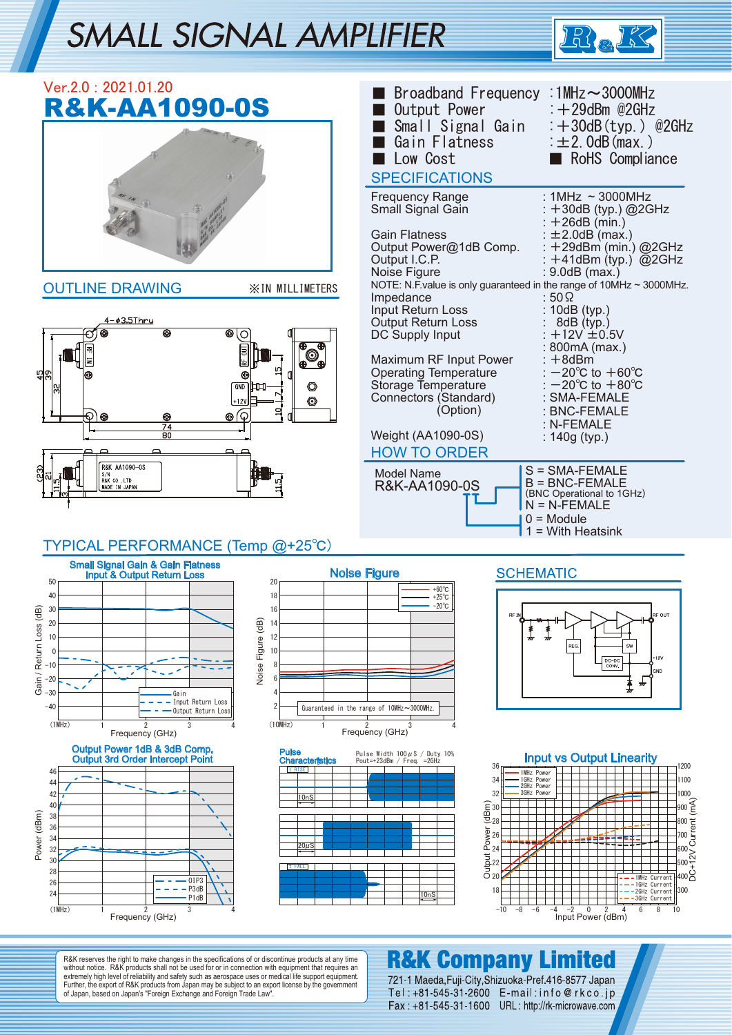# SMALL SIGNAL AMPLIFIER



| Ver.2.0: 2021.01.20<br><b>R&amp;K-AA1090-0S</b><br><b>OUTLINE DRAWING</b><br><b>XIN MILLIMETERS</b><br><u>4–03.5Thru</u><br>$_{\circledcirc}$<br>⊛<br>С<br>4%<br>G<br>O<br>◎<br>+12V<br>⊚∫©<br>⊕<br>⊛<br>⊛<br>$\overline{74}$<br>80<br>R&K AA1090-0S                                                                                                                                             | Broadband Frequency : 1MHz ~ 3000MHz<br>$\div$ +29dBm @2GHz<br>Output Power<br>Small Signal Gain<br>$\div$ +30dB (typ.) @2GHz<br>$\pm 2.0$ dB (max.)<br>Gain Flatness<br>Low Cost<br>RoHS Compliance<br><b>SPECIFICATIONS</b><br>: $1MHz \approx 3000MHz$<br><b>Frequency Range</b><br>Small Signal Gain<br>: +30dB (typ.) @2GHz<br>$: +26dB$ (min.)<br>: $\pm 2.0$ dB (max.)<br><b>Gain Flatness</b><br>Output Power@1dB Comp.<br>$+29$ dBm (min.) @2GHz<br>Output I.C.P.<br>: $+41$ dBm (typ.) @2GHz<br>Noise Figure<br>: 9.0dB (max.)<br>NOTE: N.F. value is only guaranteed in the range of 10MHz ~ 3000MHz.<br>Impedance<br>: 50 $\Omega$<br>Input Return Loss<br>: 10dB (typ.)<br>Output Return Loss<br>8dB (typ.)<br>$+12V \pm 0.5V$<br>DC Supply Input<br>800mA (max.)<br>Maximum RF Input Power<br>: +8dBm<br>: $-20^{\circ}$ C to $+60^{\circ}$ C<br><b>Operating Temperature</b><br>Storage Temperature<br>$-20^{\circ}$ C to $+80^{\circ}$ C<br>Connectors (Standard)<br>: SMA-FEMALE<br>(Option)<br>: BNC-FEMALE<br>: N-FEMALE<br>Weight (AA1090-0S)<br>: $140g$ (typ.)<br><b>HOW TO ORDER</b> |
|--------------------------------------------------------------------------------------------------------------------------------------------------------------------------------------------------------------------------------------------------------------------------------------------------------------------------------------------------------------------------------------------------|-------------------------------------------------------------------------------------------------------------------------------------------------------------------------------------------------------------------------------------------------------------------------------------------------------------------------------------------------------------------------------------------------------------------------------------------------------------------------------------------------------------------------------------------------------------------------------------------------------------------------------------------------------------------------------------------------------------------------------------------------------------------------------------------------------------------------------------------------------------------------------------------------------------------------------------------------------------------------------------------------------------------------------------------------------------------------------------------------------------|
| S/N<br>R&K CO., LTD<br>MADE IN JAPAN                                                                                                                                                                                                                                                                                                                                                             | S = SMA-FEMALE<br><b>Model Name</b><br>$B = BNC$ -FEMALE<br>R&K-AA1090-0S<br>(BNC Operational to 1GHz)<br>$N = N$ -FEMALE                                                                                                                                                                                                                                                                                                                                                                                                                                                                                                                                                                                                                                                                                                                                                                                                                                                                                                                                                                                   |
|                                                                                                                                                                                                                                                                                                                                                                                                  | $0 =$ Module<br>$1 =$ With Heatsink                                                                                                                                                                                                                                                                                                                                                                                                                                                                                                                                                                                                                                                                                                                                                                                                                                                                                                                                                                                                                                                                         |
| TYPICAL PERFORMANCE (Temp @+25°C)<br>Small Signal Gain & Gain Flatness<br>Input & Output Return Loss<br>50<br>20<br>40<br>18<br>Gain / Return Loss (dB)<br>16<br>30<br>Noise Figure (dB)<br>20<br>14<br>12<br>10<br>10<br>$\mathbf 0$<br>8<br>-10<br>$-20$<br>$-30$<br>Gain<br>- Input Return Loss<br>$\overline{2}$<br>$-40$<br>Output Return Loss<br>(1MHz)<br>(10MHz)<br>3<br>Frequency (GHz) | <b>SCHEMATIC</b><br><b>Noise Figure</b><br>$+60^{\circ}$ C<br>$+25^{\circ}$ C<br>$-20^{\circ}$ C<br>REG.<br>SW<br>$+12v$<br>$DC-DC$<br>CONV.<br>GND<br>$\boldsymbol{\pi}$<br>₩<br>Guaranteed in the range of 10MHz~3000MHz.<br>Frequency (GHz)                                                                                                                                                                                                                                                                                                                                                                                                                                                                                                                                                                                                                                                                                                                                                                                                                                                              |
| Output Power 1dB & 3dB Comp.<br><b>Pulse</b><br><b>Output 3rd Order Intercept Point</b><br><b>Characteristics</b><br>t RISE<br>46<br>44<br>42<br>10nS<br>40<br>Power (dBm)<br>38<br>36<br>34<br>$20\mu$ S<br>32<br>30<br>t FALL<br>28<br>0IP3<br>26<br>$-P3dB$<br>24<br>P1dB<br>(1MHz)<br>3<br>2<br>Frequency (GHz)                                                                              | Pulse Width $100 \mu$ S / Duty $10\%$<br><b>Input vs Output Linearity</b><br>Pout=+23dBm / Freq. = 2GHz<br>36<br>1200<br>1MHz Power<br>1GHz Power<br>1100<br>34<br>2GHz Power<br>3GHz Power<br>32<br>1000<br>$\frac{1}{2}000$<br>$\widehat{\mathbb{E}}_{28}^{30}$<br>Light Power<br>Output 22<br>22<br>20<br>1MHz Current<br>-1GHz Current<br> 300<br>18<br>-2GHz Current<br><u> 10nS</u><br>-3GHz Current<br>$\pmb{0}$<br>$-2$<br>$-10$<br>-8<br>$-6$<br>-4<br>2<br>6<br>8<br>10<br>Input Power (dBm)                                                                                                                                                                                                                                                                                                                                                                                                                                                                                                                                                                                                      |
|                                                                                                                                                                                                                                                                                                                                                                                                  |                                                                                                                                                                                                                                                                                                                                                                                                                                                                                                                                                                                                                                                                                                                                                                                                                                                                                                                                                                                                                                                                                                             |

R&K reserves the right to make changes in the specifications of or discontinue products at any time<br>without notice. R&K products shall not be used for or in connection with equipment that requires an<br>extremely high level o

## **R&K Company Limited**

721-1 Maeda, Fuji-City, Shizuoka-Pref. 416-8577 Japan Tel: +81-545-31-2600 E-mail: info@rkco.jp Fax: +81-545-31-1600 URL: http://rk-microwave.com